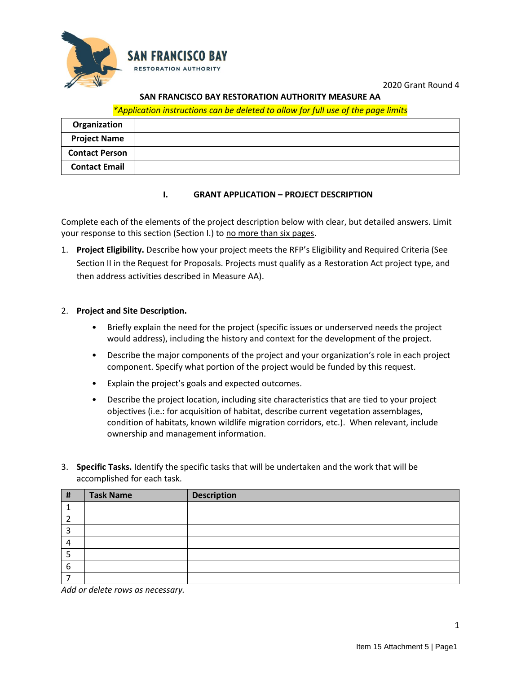

2020 Grant Round 4

## **SAN FRANCISCO BAY RESTORATION AUTHORITY MEASURE AA**

#### *\*Application instructions can be deleted to allow for full use of the page limits*

| Organization          |  |
|-----------------------|--|
| <b>Project Name</b>   |  |
| <b>Contact Person</b> |  |
| <b>Contact Email</b>  |  |

#### **I. GRANT APPLICATION – PROJECT DESCRIPTION**

Complete each of the elements of the project description below with clear, but detailed answers. Limit your response to this section (Section I.) to no more than six pages.

1. **Project Eligibility.** Describe how your project meets the RFP's Eligibility and Required Criteria (See Section II in the Request for Proposals. Projects must qualify as a Restoration Act project type, and then address activities described in Measure AA).

#### 2. **Project and Site Description.**

- Briefly explain the need for the project (specific issues or underserved needs the project would address), including the history and context for the development of the project.
- Describe the major components of the project and your organization's role in each project component. Specify what portion of the project would be funded by this request.
- Explain the project's goals and expected outcomes.
- Describe the project location, including site characteristics that are tied to your project objectives (i.e.: for acquisition of habitat, describe current vegetation assemblages, condition of habitats, known wildlife migration corridors, etc.). When relevant, include ownership and management information.
- 3. **Specific Tasks.** Identify the specific tasks that will be undertaken and the work that will be accomplished for each task.

| # | <b>Task Name</b> | <b>Description</b> |
|---|------------------|--------------------|
|   |                  |                    |
|   |                  |                    |
| ∍ |                  |                    |
|   |                  |                    |
|   |                  |                    |
| 6 |                  |                    |
|   |                  |                    |

*Add or delete rows as necessary.*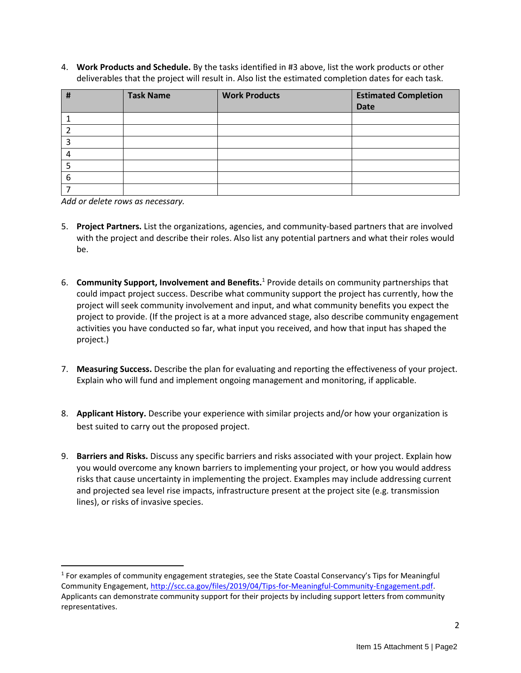4. **Work Products and Schedule.** By the tasks identified in #3 above, list the work products or other deliverables that the project will result in. Also list the estimated completion dates for each task.

| # | <b>Task Name</b> | <b>Work Products</b> | <b>Estimated Completion</b> |
|---|------------------|----------------------|-----------------------------|
|   |                  |                      | <b>Date</b>                 |
|   |                  |                      |                             |
|   |                  |                      |                             |
|   |                  |                      |                             |
|   |                  |                      |                             |
|   |                  |                      |                             |
| 6 |                  |                      |                             |
|   |                  |                      |                             |

*Add or delete rows as necessary.* 

- 5. **Project Partners.** List the organizations, agencies, and community-based partners that are involved with the project and describe their roles. Also list any potential partners and what their roles would be.
- 6. **Community Support, Involvement and Benefits.**<sup>1</sup> Provide details on community partnerships that could impact project success. Describe what community support the project has currently, how the project will seek community involvement and input, and what community benefits you expect the project to provide. (If the project is at a more advanced stage, also describe community engagement activities you have conducted so far, what input you received, and how that input has shaped the project.)
- 7. **Measuring Success.** Describe the plan for evaluating and reporting the effectiveness of your project. Explain who will fund and implement ongoing management and monitoring, if applicable.
- 8. **Applicant History.** Describe your experience with similar projects and/or how your organization is best suited to carry out the proposed project.
- 9. **Barriers and Risks.** Discuss any specific barriers and risks associated with your project. Explain how you would overcome any known barriers to implementing your project, or how you would address risks that cause uncertainty in implementing the project. Examples may include addressing current and projected sea level rise impacts, infrastructure present at the project site (e.g. transmission lines), or risks of invasive species.

<sup>&</sup>lt;sup>1</sup> For examples of community engagement strategies, see the State Coastal Conservancy's Tips for Meaningful Community Engagement, [http://scc.ca.gov/files/2019/04/Tips-for-Meaningful-Community-Engagement.pdf.](http://scc.ca.gov/files/2019/04/Tips-for-Meaningful-Community-Engagement.pdf) Applicants can demonstrate community support for their projects by including support letters from community representatives.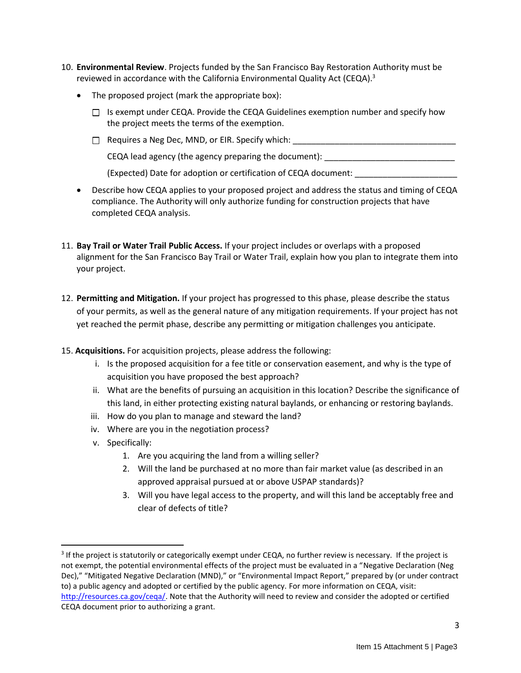- 10. **Environmental Review**. Projects funded by the San Francisco Bay Restoration Authority must be reviewed in accordance with the California Environmental Quality Act (CEQA). $3$ 
	- The proposed project (mark the appropriate box):
		- $\Box$  Is exempt under CEQA. Provide the CEQA Guidelines exemption number and specify how the project meets the terms of the exemption.
		- $\Box$  Requires a Neg Dec, MND, or EIR. Specify which:

 $CEQA$  lead agency (the agency preparing the document):

(Expected) Date for adoption or certification of CEQA document: \_\_\_\_\_\_\_\_\_\_\_\_\_\_\_\_\_\_\_\_\_\_

- Describe how CEQA applies to your proposed project and address the status and timing of CEQA compliance. The Authority will only authorize funding for construction projects that have completed CEQA analysis.
- 11. **Bay Trail or Water Trail Public Access.** If your project includes or overlaps with a proposed alignment for the San Francisco Bay Trail or Water Trail, explain how you plan to integrate them into your project.
- 12. **Permitting and Mitigation.** If your project has progressed to this phase, please describe the status of your permits, as well as the general nature of any mitigation requirements. If your project has not yet reached the permit phase, describe any permitting or mitigation challenges you anticipate.
- 15. **Acquisitions.** For acquisition projects, please address the following:
	- i. Is the proposed acquisition for a fee title or conservation easement, and why is the type of acquisition you have proposed the best approach?
	- ii. What are the benefits of pursuing an acquisition in this location? Describe the significance of this land, in either protecting existing natural baylands, or enhancing or restoring baylands.
	- iii. How do you plan to manage and steward the land?
	- iv. Where are you in the negotiation process?
	- v. Specifically:
		- 1. Are you acquiring the land from a willing seller?
		- 2. Will the land be purchased at no more than fair market value (as described in an approved appraisal pursued at or above USPAP standards)?
		- 3. Will you have legal access to the property, and will this land be acceptably free and clear of defects of title?

<sup>&</sup>lt;sup>3</sup> If the project is statutorily or categorically exempt under CEQA, no further review is necessary. If the project is not exempt, the potential environmental effects of the project must be evaluated in a "Negative Declaration (Neg Dec)," "Mitigated Negative Declaration (MND)," or "Environmental Impact Report," prepared by (or under contract to) a public agency and adopted or certified by the public agency. For more information on CEQA, visit: [http://resources.ca.gov/ceqa/.](http://resources.ca.gov/ceqa/) Note that the Authority will need to review and consider the adopted or certified CEQA document prior to authorizing a grant.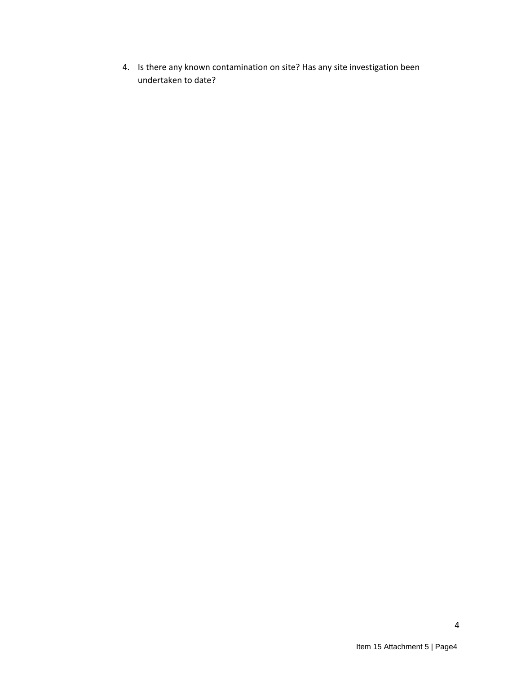4. Is there any known contamination on site? Has any site investigation been undertaken to date?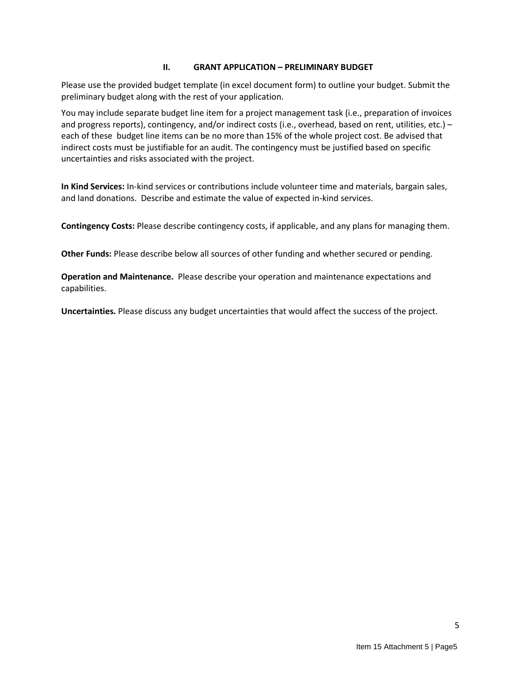## **II. GRANT APPLICATION – PRELIMINARY BUDGET**

Please use the provided budget template (in excel document form) to outline your budget. Submit the preliminary budget along with the rest of your application.

You may include separate budget line item for a project management task (i.e., preparation of invoices and progress reports), contingency, and/or indirect costs (i.e., overhead, based on rent, utilities, etc.) – each of these budget line items can be no more than 15% of the whole project cost. Be advised that indirect costs must be justifiable for an audit. The contingency must be justified based on specific uncertainties and risks associated with the project.

**In Kind Services:** In-kind services or contributions include volunteer time and materials, bargain sales, and land donations. Describe and estimate the value of expected in-kind services.

**Contingency Costs:** Please describe contingency costs, if applicable, and any plans for managing them.

**Other Funds:** Please describe below all sources of other funding and whether secured or pending.

**Operation and Maintenance.** Please describe your operation and maintenance expectations and capabilities.

**Uncertainties.** Please discuss any budget uncertainties that would affect the success of the project.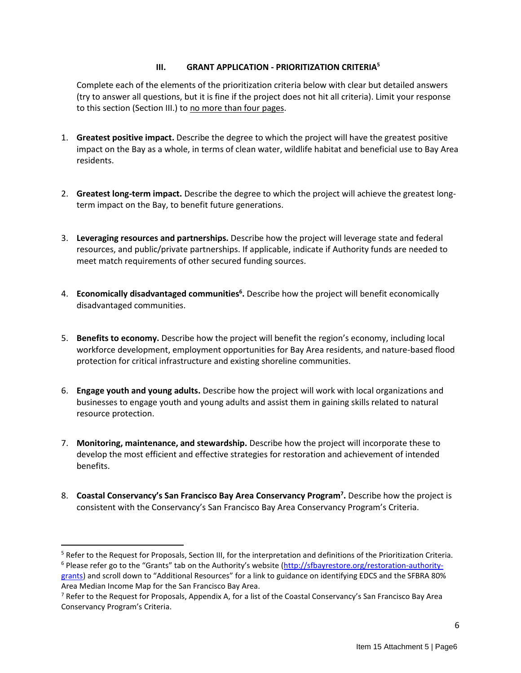## **III. GRANT APPLICATION - PRIORITIZATION CRITERIA<sup>5</sup>**

Complete each of the elements of the prioritization criteria below with clear but detailed answers (try to answer all questions, but it is fine if the project does not hit all criteria). Limit your response to this section (Section III.) to no more than four pages.

- 1. **Greatest positive impact.** Describe the degree to which the project will have the greatest positive impact on the Bay as a whole, in terms of clean water, wildlife habitat and beneficial use to Bay Area residents.
- 2. **Greatest long-term impact.** Describe the degree to which the project will achieve the greatest longterm impact on the Bay, to benefit future generations.
- 3. **Leveraging resources and partnerships.** Describe how the project will leverage state and federal resources, and public/private partnerships. If applicable, indicate if Authority funds are needed to meet match requirements of other secured funding sources.
- 4. **Economically disadvantaged communities<sup>6</sup> .** Describe how the project will benefit economically disadvantaged communities.
- 5. **Benefits to economy.** Describe how the project will benefit the region's economy, including local workforce development, employment opportunities for Bay Area residents, and nature-based flood protection for critical infrastructure and existing shoreline communities.
- 6. **Engage youth and young adults.** Describe how the project will work with local organizations and businesses to engage youth and young adults and assist them in gaining skills related to natural resource protection.
- 7. **Monitoring, maintenance, and stewardship.** Describe how the project will incorporate these to develop the most efficient and effective strategies for restoration and achievement of intended benefits.
- 8. **Coastal Conservancy's San Francisco Bay Area Conservancy Program<sup>7</sup> .** Describe how the project is consistent with the Conservancy's San Francisco Bay Area Conservancy Program's Criteria.

<sup>5</sup> Refer to the Request for Proposals, Section III, for the interpretation and definitions of the Prioritization Criteria. <sup>6</sup> Please refer go to the "Grants" tab on the Authority's website ([http://sfbayrestore.org/restoration-authority-](http://sfbayrestore.org/restoration-authority-grants)

[grants](http://sfbayrestore.org/restoration-authority-grants)) and scroll down to "Additional Resources" for a link to guidance on identifying EDCS and the SFBRA 80% Area Median Income Map for the San Francisco Bay Area.

<sup>&</sup>lt;sup>7</sup> Refer to the Request for Proposals, Appendix A, for a list of the Coastal Conservancy's San Francisco Bay Area Conservancy Program's Criteria.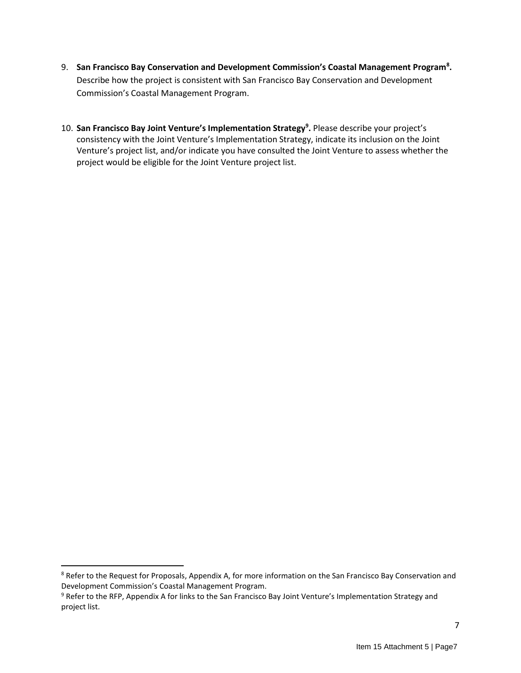- 9. **San Francisco Bay Conservation and Development Commission's Coastal Management Program<sup>8</sup> .**  Describe how the project is consistent with San Francisco Bay Conservation and Development Commission's Coastal Management Program.
- 10. **San Francisco Bay Joint Venture's Implementation Strategy<sup>9</sup> .** Please describe your project's consistency with the Joint Venture's Implementation Strategy, indicate its inclusion on the Joint Venture's project list, and/or indicate you have consulted the Joint Venture to assess whether the project would be eligible for the Joint Venture project list.

<sup>&</sup>lt;sup>8</sup> Refer to the Request for Proposals, Appendix A, for more information on the San Francisco Bay Conservation and Development Commission's Coastal Management Program.

<sup>&</sup>lt;sup>9</sup> Refer to the RFP, Appendix A for links to the San Francisco Bay Joint Venture's Implementation Strategy and project list.